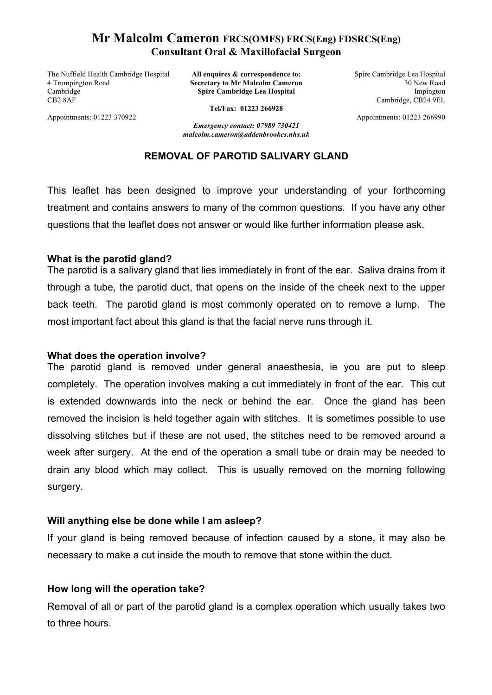# **Mr Malcolm Cameron FRCS(OMFS) FRCS(Eng) FDSRCS(Eng) Consultant Oral & Maxillofacial Surgeon**

The Nuffield Health Cambridge Hospital 4 Trumpington Road Cambridge CB2 8AF

**All enquires & correspondence to: Secretary to Mr Malcolm Cameron Spire Cambridge Lea Hospital**

Spire Cambridge Lea Hospital 30 New Road Impington Cambridge, CB24 9EL

Appointments: 01223 266990

Appointments: 01223 370922

**Tel/Fax: 01223 266928**

*Emergency contact: 07989 730421 malcolm.cameron@addenbrookes.nhs.uk*

## **REMOVAL OF PAROTID SALIVARY GLAND**

This leaflet has been designed to improve your understanding of your forthcoming treatment and contains answers to many of the common questions. If you have any other questions that the leaflet does not answer or would like further information please ask.

## **What is the parotid gland?**

The parotid is a salivary gland that lies immediately in front of the ear. Saliva drains from it through a tube, the parotid duct, that opens on the inside of the cheek next to the upper back teeth. The parotid gland is most commonly operated on to remove a lump. The most important fact about this gland is that the facial nerve runs through it.

## **What does the operation involve?**

The parotid gland is removed under general anaesthesia, ie you are put to sleep completely. The operation involves making a cut immediately in front of the ear. This cut is extended downwards into the neck or behind the ear. Once the gland has been removed the incision is held together again with stitches. It is sometimes possible to use dissolving stitches but if these are not used, the stitches need to be removed around a week after surgery. At the end of the operation a small tube or drain may be needed to drain any blood which may collect. This is usually removed on the morning following surgery.

## **Will anything else be done while I am asleep?**

If your gland is being removed because of infection caused by a stone, it may also be necessary to make a cut inside the mouth to remove that stone within the duct.

# **How long will the operation take?**

Removal of all or part of the parotid gland is a complex operation which usually takes two to three hours.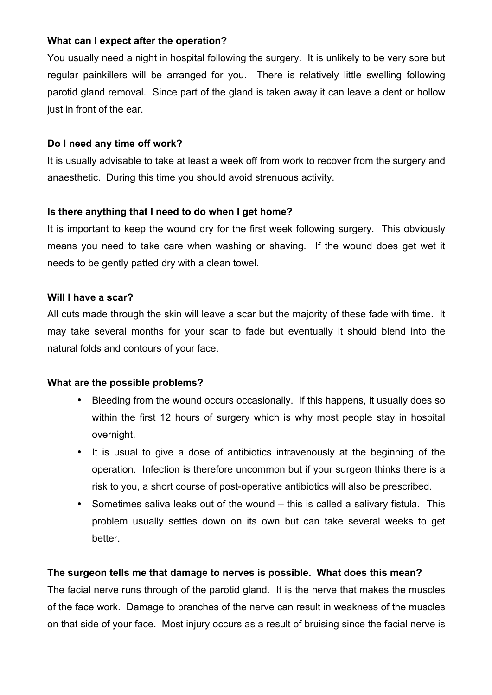## **What can I expect after the operation?**

You usually need a night in hospital following the surgery. It is unlikely to be very sore but regular painkillers will be arranged for you. There is relatively little swelling following parotid gland removal. Since part of the gland is taken away it can leave a dent or hollow just in front of the ear.

## **Do I need any time off work?**

It is usually advisable to take at least a week off from work to recover from the surgery and anaesthetic. During this time you should avoid strenuous activity.

# **Is there anything that I need to do when I get home?**

It is important to keep the wound dry for the first week following surgery. This obviously means you need to take care when washing or shaving. If the wound does get wet it needs to be gently patted dry with a clean towel.

## **Will I have a scar?**

All cuts made through the skin will leave a scar but the majority of these fade with time. It may take several months for your scar to fade but eventually it should blend into the natural folds and contours of your face.

## **What are the possible problems?**

- Bleeding from the wound occurs occasionally. If this happens, it usually does so within the first 12 hours of surgery which is why most people stay in hospital overnight.
- It is usual to give a dose of antibiotics intravenously at the beginning of the operation. Infection is therefore uncommon but if your surgeon thinks there is a risk to you, a short course of post-operative antibiotics will also be prescribed.
- Sometimes saliva leaks out of the wound this is called a salivary fistula. This problem usually settles down on its own but can take several weeks to get better.

# **The surgeon tells me that damage to nerves is possible. What does this mean?**

The facial nerve runs through of the parotid gland. It is the nerve that makes the muscles of the face work. Damage to branches of the nerve can result in weakness of the muscles on that side of your face. Most injury occurs as a result of bruising since the facial nerve is